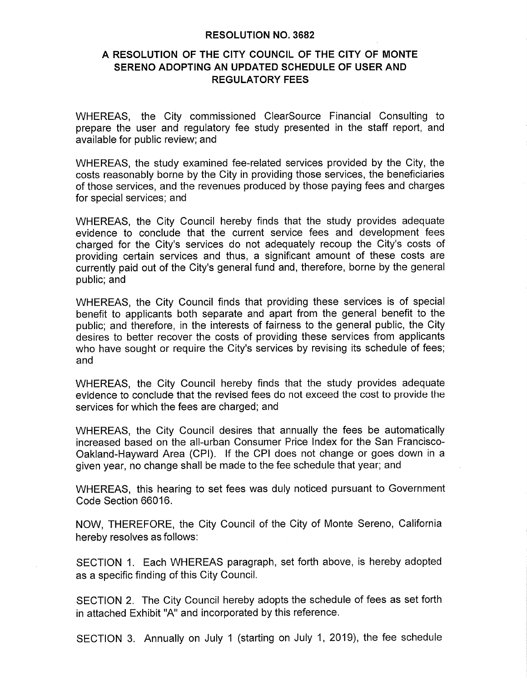#### **RESOLUTION NO. 3682**

### A RESOLUTION OF THE CITY COUNCIL OF THE CITY OF MONTE SERENO ADOPTING AN UPDATED SCHEDULE OF USER AND **REGULATORY FEES**

WHEREAS, the City commissioned ClearSource Financial Consulting to prepare the user and regulatory fee study presented in the staff report, and available for public review; and

WHEREAS, the study examined fee-related services provided by the City, the costs reasonably borne by the City in providing those services, the beneficiaries of those services, and the revenues produced by those paying fees and charges for special services; and

WHEREAS, the City Council hereby finds that the study provides adequate evidence to conclude that the current service fees and development fees charged for the City's services do not adequately recoup the City's costs of providing certain services and thus, a significant amount of these costs are currently paid out of the City's general fund and, therefore, borne by the general public; and

WHEREAS, the City Council finds that providing these services is of special benefit to applicants both separate and apart from the general benefit to the public; and therefore, in the interests of fairness to the general public, the City desires to better recover the costs of providing these services from applicants who have sought or require the City's services by revising its schedule of fees; and

WHEREAS, the City Council hereby finds that the study provides adequate evidence to conclude that the revised fees do not exceed the cost to provide the services for which the fees are charged; and

WHEREAS, the City Council desires that annually the fees be automatically increased based on the all-urban Consumer Price Index for the San Francisco-Oakland-Hayward Area (CPI). If the CPI does not change or goes down in a given year, no change shall be made to the fee schedule that year; and

WHEREAS, this hearing to set fees was duly noticed pursuant to Government Code Section 66016.

NOW, THEREFORE, the City Council of the City of Monte Sereno, California hereby resolves as follows:

SECTION 1. Each WHEREAS paragraph, set forth above, is hereby adopted as a specific finding of this City Council.

SECTION 2. The City Council hereby adopts the schedule of fees as set forth in attached Exhibit "A" and incorporated by this reference.

SECTION 3. Annually on July 1 (starting on July 1, 2019), the fee schedule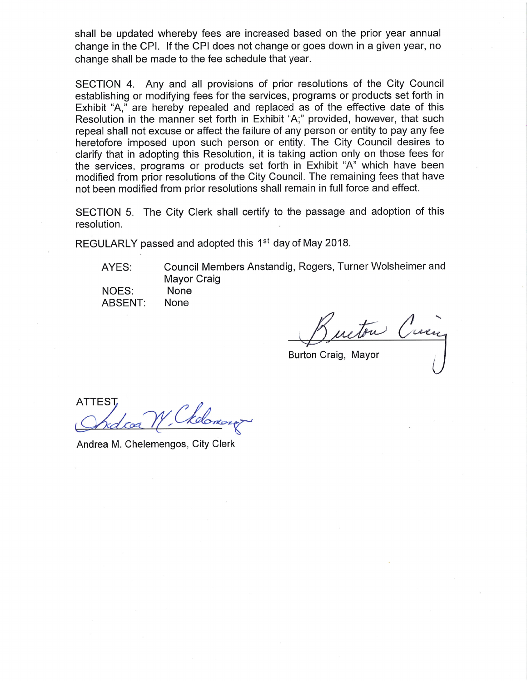shall be updated whereby fees are increased based on the prior year annual change in the CPI. If the CPI does not change or goes down in a given year, no change shall be made to the fee schedule that year.

SECTION 4. Any and all provisions of prior resolutions of the City Council establishing or modifying fees for the services, programs or products set forth in Exhibit "A," are hereby repealed and replaced as of the effective date of this Resolution in the manner set forth in Exhibit "A;" provided, however, that such repeal shall not excuse or affect the failure of any person or entity to pay any fee heretofore imposed upon such person or entity. The City Council desires to clarify that in adopting this Resolution, it is taking action only on those fees for the services, programs or products set forth in Exhibit "A" which have been modified from prior resolutions of the City Council. The remaining fees that have not been modified from prior resolutions shall remain in full force and effect.

SECTION 5. The City Clerk shall certify to the passage and adoption of this resolution.

REGULARLY passed and adopted this 1<sup>st</sup> day of May 2018.

AYES:

NOES:

**ABSENT:** 

Council Members Anstandig, Rogers, Turner Wolsheimer and **Mayor Craig** None

Crem utou

Burton Craig, Mayor

**ATTEST** 

None

Andrea M. Chelemengos, City Clerk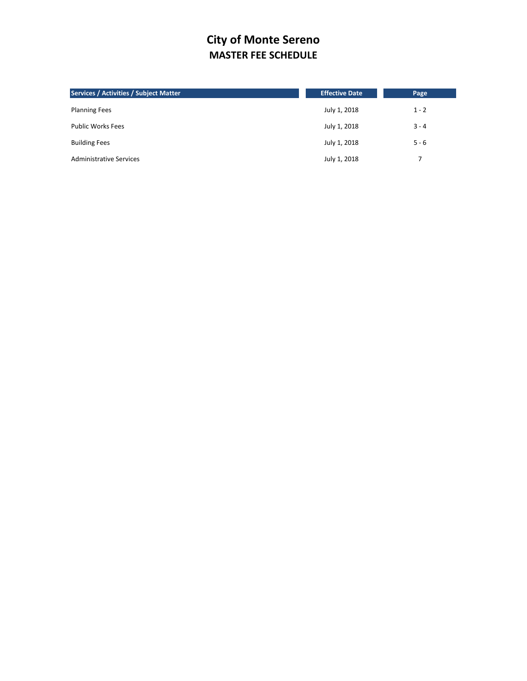# **City of Monte Sereno MASTER FEE SCHEDULE**

| <b>Services / Activities / Subject Matter</b> | <b>Effective Date</b> | Page    |
|-----------------------------------------------|-----------------------|---------|
| <b>Planning Fees</b>                          | July 1, 2018          | $1 - 2$ |
| <b>Public Works Fees</b>                      | July 1, 2018          | $3 - 4$ |
| <b>Building Fees</b>                          | July 1, 2018          | $5 - 6$ |
| <b>Administrative Services</b>                | July 1, 2018          | 7       |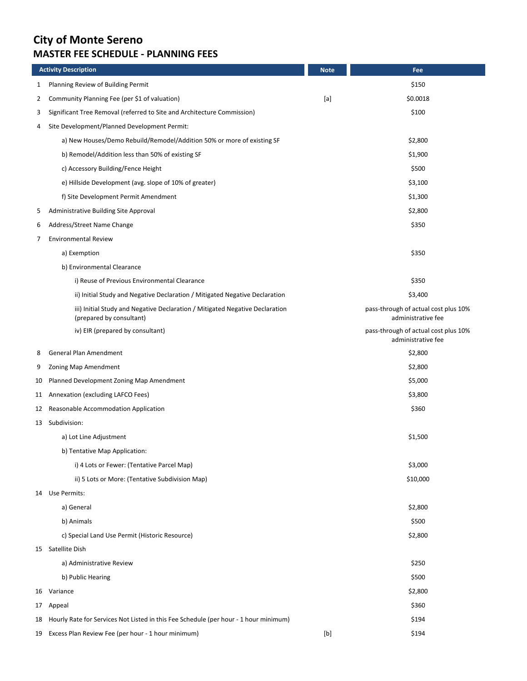# **City of Monte Sereno MASTER FEE SCHEDULE - PLANNING FEES**

|    | <b>Activity Description</b>                                                                              | <b>Note</b>                                                                                                                                                                                                                                                                                                                                                                                                                                                                                              | Fee                                                        |
|----|----------------------------------------------------------------------------------------------------------|----------------------------------------------------------------------------------------------------------------------------------------------------------------------------------------------------------------------------------------------------------------------------------------------------------------------------------------------------------------------------------------------------------------------------------------------------------------------------------------------------------|------------------------------------------------------------|
| 1  | Planning Review of Building Permit                                                                       |                                                                                                                                                                                                                                                                                                                                                                                                                                                                                                          | \$150                                                      |
| 2  | Community Planning Fee (per \$1 of valuation)                                                            | $[a] % \begin{center} % \includegraphics[width=\linewidth]{imagesSupplemental_3.png} % \end{center} % \caption { % \textit{DefNet} and \textit{DefNet}~\textit{DefNet}~\textit{DefNet}~\textit{DefNet}~\textit{DefNet}~\textit{DefNet}~\textit{DefNet}~\textit{DefNet}~\textit{DefNet}~\textit{DefNet}~\textit{DefNet}~\textit{DefNet}~\textit{DefNet}~\textit{DefNet}~\textit{DefNet}~\textit{DefNet}~\textit{DefNet}~\textit{DefNet}~\textit{DefNet}~\textit{DefNet}~\textit{DefNet}~\textit{DefNet}~$ | \$0.0018                                                   |
| 3  | Significant Tree Removal (referred to Site and Architecture Commission)                                  |                                                                                                                                                                                                                                                                                                                                                                                                                                                                                                          | \$100                                                      |
| 4  | Site Development/Planned Development Permit:                                                             |                                                                                                                                                                                                                                                                                                                                                                                                                                                                                                          |                                                            |
|    | a) New Houses/Demo Rebuild/Remodel/Addition 50% or more of existing SF                                   |                                                                                                                                                                                                                                                                                                                                                                                                                                                                                                          | \$2,800                                                    |
|    | b) Remodel/Addition less than 50% of existing SF                                                         |                                                                                                                                                                                                                                                                                                                                                                                                                                                                                                          | \$1,900                                                    |
|    | c) Accessory Building/Fence Height                                                                       |                                                                                                                                                                                                                                                                                                                                                                                                                                                                                                          | \$500                                                      |
|    | e) Hillside Development (avg. slope of 10% of greater)                                                   |                                                                                                                                                                                                                                                                                                                                                                                                                                                                                                          | \$3,100                                                    |
|    | f) Site Development Permit Amendment                                                                     |                                                                                                                                                                                                                                                                                                                                                                                                                                                                                                          | \$1,300                                                    |
| 5  | Administrative Building Site Approval                                                                    |                                                                                                                                                                                                                                                                                                                                                                                                                                                                                                          | \$2,800                                                    |
| 6  | Address/Street Name Change                                                                               |                                                                                                                                                                                                                                                                                                                                                                                                                                                                                                          | \$350                                                      |
| 7  | <b>Environmental Review</b>                                                                              |                                                                                                                                                                                                                                                                                                                                                                                                                                                                                                          |                                                            |
|    | a) Exemption                                                                                             |                                                                                                                                                                                                                                                                                                                                                                                                                                                                                                          | \$350                                                      |
|    | b) Environmental Clearance                                                                               |                                                                                                                                                                                                                                                                                                                                                                                                                                                                                                          |                                                            |
|    | i) Reuse of Previous Environmental Clearance                                                             |                                                                                                                                                                                                                                                                                                                                                                                                                                                                                                          | \$350                                                      |
|    | ii) Initial Study and Negative Declaration / Mitigated Negative Declaration                              |                                                                                                                                                                                                                                                                                                                                                                                                                                                                                                          | \$3,400                                                    |
|    | iii) Initial Study and Negative Declaration / Mitigated Negative Declaration<br>(prepared by consultant) |                                                                                                                                                                                                                                                                                                                                                                                                                                                                                                          | pass-through of actual cost plus 10%<br>administrative fee |
|    | iv) EIR (prepared by consultant)                                                                         |                                                                                                                                                                                                                                                                                                                                                                                                                                                                                                          | pass-through of actual cost plus 10%<br>administrative fee |
| 8  | General Plan Amendment                                                                                   |                                                                                                                                                                                                                                                                                                                                                                                                                                                                                                          | \$2,800                                                    |
| 9  | Zoning Map Amendment                                                                                     |                                                                                                                                                                                                                                                                                                                                                                                                                                                                                                          | \$2,800                                                    |
| 10 | Planned Development Zoning Map Amendment                                                                 |                                                                                                                                                                                                                                                                                                                                                                                                                                                                                                          | \$5,000                                                    |
|    | 11 Annexation (excluding LAFCO Fees)                                                                     |                                                                                                                                                                                                                                                                                                                                                                                                                                                                                                          | \$3,800                                                    |
|    | 12 Reasonable Accommodation Application                                                                  |                                                                                                                                                                                                                                                                                                                                                                                                                                                                                                          | \$360                                                      |
|    | 13 Subdivision:                                                                                          |                                                                                                                                                                                                                                                                                                                                                                                                                                                                                                          |                                                            |
|    | a) Lot Line Adjustment                                                                                   |                                                                                                                                                                                                                                                                                                                                                                                                                                                                                                          | \$1,500                                                    |
|    | b) Tentative Map Application:                                                                            |                                                                                                                                                                                                                                                                                                                                                                                                                                                                                                          |                                                            |
|    | i) 4 Lots or Fewer: (Tentative Parcel Map)                                                               |                                                                                                                                                                                                                                                                                                                                                                                                                                                                                                          | \$3,000                                                    |
|    | ii) 5 Lots or More: (Tentative Subdivision Map)                                                          |                                                                                                                                                                                                                                                                                                                                                                                                                                                                                                          | \$10,000                                                   |
|    | 14 Use Permits:                                                                                          |                                                                                                                                                                                                                                                                                                                                                                                                                                                                                                          |                                                            |
|    | a) General                                                                                               |                                                                                                                                                                                                                                                                                                                                                                                                                                                                                                          | \$2,800                                                    |
|    | b) Animals                                                                                               |                                                                                                                                                                                                                                                                                                                                                                                                                                                                                                          | \$500                                                      |
|    | c) Special Land Use Permit (Historic Resource)                                                           |                                                                                                                                                                                                                                                                                                                                                                                                                                                                                                          | \$2,800                                                    |
|    | 15 Satellite Dish                                                                                        |                                                                                                                                                                                                                                                                                                                                                                                                                                                                                                          |                                                            |
|    | a) Administrative Review                                                                                 |                                                                                                                                                                                                                                                                                                                                                                                                                                                                                                          | \$250                                                      |
|    | b) Public Hearing                                                                                        |                                                                                                                                                                                                                                                                                                                                                                                                                                                                                                          | \$500                                                      |
|    | 16 Variance                                                                                              |                                                                                                                                                                                                                                                                                                                                                                                                                                                                                                          | \$2,800                                                    |
| 17 | Appeal                                                                                                   |                                                                                                                                                                                                                                                                                                                                                                                                                                                                                                          | \$360                                                      |
| 18 | Hourly Rate for Services Not Listed in this Fee Schedule (per hour - 1 hour minimum)                     |                                                                                                                                                                                                                                                                                                                                                                                                                                                                                                          | \$194                                                      |
| 19 | Excess Plan Review Fee (per hour - 1 hour minimum)                                                       | $[b] % \begin{center} % \includegraphics[width=\linewidth]{imagesSupplemental_3.png} % \end{center} % \caption { % Our method can be used for the image. % } % \label{fig:example} %$                                                                                                                                                                                                                                                                                                                    | \$194                                                      |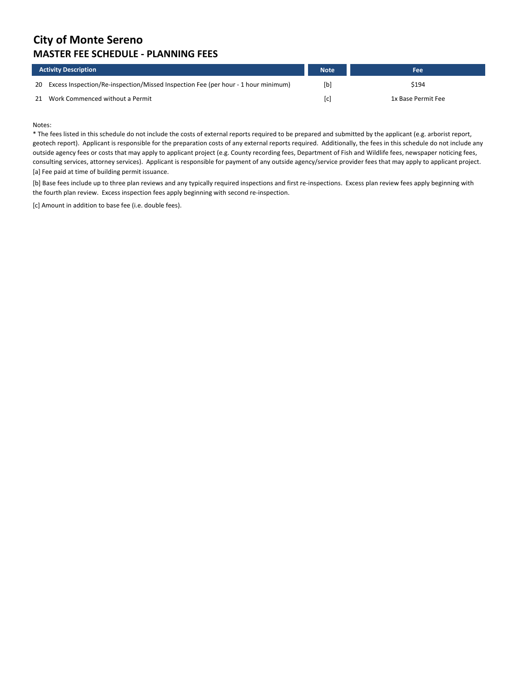## **City of Monte Sereno MASTER FEE SCHEDULE - PLANNING FEES**

|    | <b>Activity Description</b>                                                       | <b>Note</b>       | Fee                |
|----|-----------------------------------------------------------------------------------|-------------------|--------------------|
| 20 | Excess Inspection/Re-inspection/Missed Inspection Fee (per hour - 1 hour minimum) | [b]               | \$194              |
| 21 | Work Commenced without a Permit                                                   | $\lceil c \rceil$ | 1x Base Permit Fee |

Notes:

\* The fees listed in this schedule do not include the costs of external reports required to be prepared and submitted by the applicant (e.g. arborist report, geotech report). Applicant is responsible for the preparation costs of any external reports required. Additionally, the fees in this schedule do not include any outside agency fees or costs that may apply to applicant project (e.g. County recording fees, Department of Fish and Wildlife fees, newspaper noticing fees, consulting services, attorney services). Applicant is responsible for payment of any outside agency/service provider fees that may apply to applicant project. [a] Fee paid at time of building permit issuance.

[b] Base fees include up to three plan reviews and any typically required inspections and first re-inspections. Excess plan review fees apply beginning with the fourth plan review. Excess inspection fees apply beginning with second re-inspection.

[c] Amount in addition to base fee (i.e. double fees).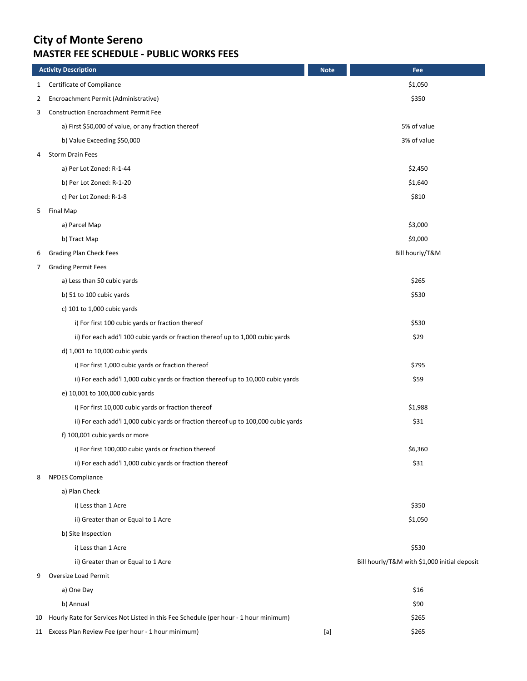# **City of Monte Sereno MASTER FEE SCHEDULE - PUBLIC WORKS FEES**

|              | <b>Activity Description</b>                                                          | <b>Note</b>                                                                                                                                                                                                                                                                                                                                                                                                                                                                                              | Fee                                          |
|--------------|--------------------------------------------------------------------------------------|----------------------------------------------------------------------------------------------------------------------------------------------------------------------------------------------------------------------------------------------------------------------------------------------------------------------------------------------------------------------------------------------------------------------------------------------------------------------------------------------------------|----------------------------------------------|
| $\mathbf{1}$ | Certificate of Compliance                                                            |                                                                                                                                                                                                                                                                                                                                                                                                                                                                                                          | \$1,050                                      |
| 2            | Encroachment Permit (Administrative)                                                 |                                                                                                                                                                                                                                                                                                                                                                                                                                                                                                          | \$350                                        |
| 3            | <b>Construction Encroachment Permit Fee</b>                                          |                                                                                                                                                                                                                                                                                                                                                                                                                                                                                                          |                                              |
|              | a) First \$50,000 of value, or any fraction thereof                                  |                                                                                                                                                                                                                                                                                                                                                                                                                                                                                                          | 5% of value                                  |
|              | b) Value Exceeding \$50,000                                                          |                                                                                                                                                                                                                                                                                                                                                                                                                                                                                                          | 3% of value                                  |
| 4            | Storm Drain Fees                                                                     |                                                                                                                                                                                                                                                                                                                                                                                                                                                                                                          |                                              |
|              | a) Per Lot Zoned: R-1-44                                                             |                                                                                                                                                                                                                                                                                                                                                                                                                                                                                                          | \$2,450                                      |
|              | b) Per Lot Zoned: R-1-20                                                             |                                                                                                                                                                                                                                                                                                                                                                                                                                                                                                          | \$1,640                                      |
|              | c) Per Lot Zoned: R-1-8                                                              |                                                                                                                                                                                                                                                                                                                                                                                                                                                                                                          | \$810                                        |
| 5            | Final Map                                                                            |                                                                                                                                                                                                                                                                                                                                                                                                                                                                                                          |                                              |
|              | a) Parcel Map                                                                        |                                                                                                                                                                                                                                                                                                                                                                                                                                                                                                          | \$3,000                                      |
|              | b) Tract Map                                                                         |                                                                                                                                                                                                                                                                                                                                                                                                                                                                                                          | \$9,000                                      |
| 6            | <b>Grading Plan Check Fees</b>                                                       |                                                                                                                                                                                                                                                                                                                                                                                                                                                                                                          | Bill hourly/T&M                              |
| 7            | <b>Grading Permit Fees</b>                                                           |                                                                                                                                                                                                                                                                                                                                                                                                                                                                                                          |                                              |
|              | a) Less than 50 cubic yards                                                          |                                                                                                                                                                                                                                                                                                                                                                                                                                                                                                          | \$265                                        |
|              | b) 51 to 100 cubic yards                                                             |                                                                                                                                                                                                                                                                                                                                                                                                                                                                                                          | \$530                                        |
|              | c) $101$ to $1,000$ cubic yards                                                      |                                                                                                                                                                                                                                                                                                                                                                                                                                                                                                          |                                              |
|              | i) For first 100 cubic yards or fraction thereof                                     |                                                                                                                                                                                                                                                                                                                                                                                                                                                                                                          | \$530                                        |
|              | ii) For each add'l 100 cubic yards or fraction thereof up to 1,000 cubic yards       |                                                                                                                                                                                                                                                                                                                                                                                                                                                                                                          | \$29                                         |
|              | d) 1,001 to 10,000 cubic yards                                                       |                                                                                                                                                                                                                                                                                                                                                                                                                                                                                                          |                                              |
|              | i) For first 1,000 cubic yards or fraction thereof                                   |                                                                                                                                                                                                                                                                                                                                                                                                                                                                                                          | \$795                                        |
|              | ii) For each add'l 1,000 cubic yards or fraction thereof up to 10,000 cubic yards    |                                                                                                                                                                                                                                                                                                                                                                                                                                                                                                          | \$59                                         |
|              | e) 10,001 to 100,000 cubic yards                                                     |                                                                                                                                                                                                                                                                                                                                                                                                                                                                                                          |                                              |
|              | i) For first 10,000 cubic yards or fraction thereof                                  |                                                                                                                                                                                                                                                                                                                                                                                                                                                                                                          | \$1,988                                      |
|              | ii) For each add'l 1,000 cubic yards or fraction thereof up to 100,000 cubic yards   |                                                                                                                                                                                                                                                                                                                                                                                                                                                                                                          | \$31                                         |
|              | f) 100,001 cubic yards or more                                                       |                                                                                                                                                                                                                                                                                                                                                                                                                                                                                                          |                                              |
|              | i) For first 100,000 cubic yards or fraction thereof                                 |                                                                                                                                                                                                                                                                                                                                                                                                                                                                                                          | \$6,360                                      |
|              | ii) For each add'l 1,000 cubic yards or fraction thereof                             |                                                                                                                                                                                                                                                                                                                                                                                                                                                                                                          | \$31                                         |
| 8            | <b>NPDES Compliance</b>                                                              |                                                                                                                                                                                                                                                                                                                                                                                                                                                                                                          |                                              |
|              | a) Plan Check                                                                        |                                                                                                                                                                                                                                                                                                                                                                                                                                                                                                          |                                              |
|              | i) Less than 1 Acre                                                                  |                                                                                                                                                                                                                                                                                                                                                                                                                                                                                                          | \$350                                        |
|              | ii) Greater than or Equal to 1 Acre                                                  |                                                                                                                                                                                                                                                                                                                                                                                                                                                                                                          | \$1,050                                      |
|              | b) Site Inspection                                                                   |                                                                                                                                                                                                                                                                                                                                                                                                                                                                                                          |                                              |
|              | i) Less than 1 Acre                                                                  |                                                                                                                                                                                                                                                                                                                                                                                                                                                                                                          | \$530                                        |
|              | ii) Greater than or Equal to 1 Acre                                                  |                                                                                                                                                                                                                                                                                                                                                                                                                                                                                                          | Bill hourly/T&M with \$1,000 initial deposit |
| 9            | <b>Oversize Load Permit</b>                                                          |                                                                                                                                                                                                                                                                                                                                                                                                                                                                                                          |                                              |
|              | a) One Day                                                                           |                                                                                                                                                                                                                                                                                                                                                                                                                                                                                                          | \$16                                         |
|              | b) Annual                                                                            |                                                                                                                                                                                                                                                                                                                                                                                                                                                                                                          | \$90                                         |
| 10           | Hourly Rate for Services Not Listed in this Fee Schedule (per hour - 1 hour minimum) |                                                                                                                                                                                                                                                                                                                                                                                                                                                                                                          | \$265                                        |
|              | 11 Excess Plan Review Fee (per hour - 1 hour minimum)                                | $[a] % \begin{center} % \includegraphics[width=\linewidth]{imagesSupplemental_3.png} % \end{center} % \caption { % \textit{DefNet} and \textit{DefNet}~\textit{DefNet}~\textit{DefNet}~\textit{DefNet}~\textit{DefNet}~\textit{DefNet}~\textit{DefNet}~\textit{DefNet}~\textit{DefNet}~\textit{DefNet}~\textit{DefNet}~\textit{DefNet}~\textit{DefNet}~\textit{DefNet}~\textit{DefNet}~\textit{DefNet}~\textit{DefNet}~\textit{DefNet}~\textit{DefNet}~\textit{DefNet}~\textit{DefNet}~\textit{DefNet}~$ | \$265                                        |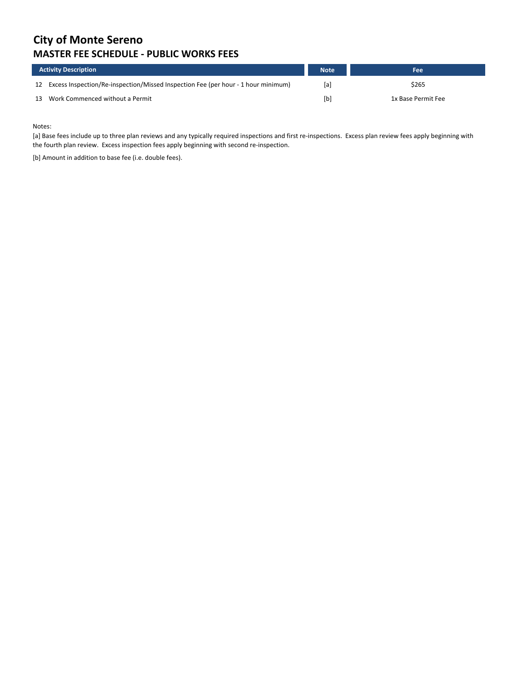# **City of Monte Sereno MASTER FEE SCHEDULE - PUBLIC WORKS FEES**

| <b>Activity Description</b> |                                                                                      | <b>Note</b> | Fee                |
|-----------------------------|--------------------------------------------------------------------------------------|-------------|--------------------|
|                             | 12 Excess Inspection/Re-inspection/Missed Inspection Fee (per hour - 1 hour minimum) | [a]         | \$265              |
| 13                          | Work Commenced without a Permit                                                      | [b]         | 1x Base Permit Fee |

Notes:

[a] Base fees include up to three plan reviews and any typically required inspections and first re-inspections. Excess plan review fees apply beginning with the fourth plan review. Excess inspection fees apply beginning with second re-inspection.

[b] Amount in addition to base fee (i.e. double fees).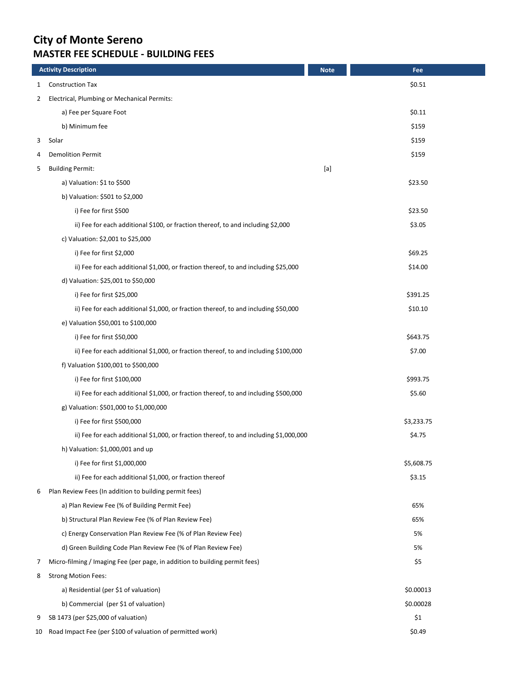# **City of Monte Sereno MASTER FEE SCHEDULE - BUILDING FEES**

|    | <b>Activity Description</b>                                                            | <b>Note</b> | Fee        |
|----|----------------------------------------------------------------------------------------|-------------|------------|
| 1  | <b>Construction Tax</b>                                                                |             | \$0.51     |
| 2  | Electrical, Plumbing or Mechanical Permits:                                            |             |            |
|    | a) Fee per Square Foot                                                                 |             | \$0.11     |
|    | b) Minimum fee                                                                         |             | \$159      |
| 3  | Solar                                                                                  |             | \$159      |
| 4  | <b>Demolition Permit</b>                                                               |             | \$159      |
| 5  | <b>Building Permit:</b>                                                                | $[{\sf a}]$ |            |
|    | a) Valuation: \$1 to \$500                                                             |             | \$23.50    |
|    | b) Valuation: \$501 to \$2,000                                                         |             |            |
|    | i) Fee for first \$500                                                                 |             | \$23.50    |
|    | ii) Fee for each additional \$100, or fraction thereof, to and including \$2,000       |             | \$3.05     |
|    | c) Valuation: \$2,001 to \$25,000                                                      |             |            |
|    | i) Fee for first \$2,000                                                               |             | \$69.25    |
|    | ii) Fee for each additional \$1,000, or fraction thereof, to and including \$25,000    |             | \$14.00    |
|    | d) Valuation: \$25,001 to \$50,000                                                     |             |            |
|    | i) Fee for first \$25,000                                                              |             | \$391.25   |
|    | ii) Fee for each additional \$1,000, or fraction thereof, to and including \$50,000    |             | \$10.10    |
|    | e) Valuation \$50,001 to \$100,000                                                     |             |            |
|    | i) Fee for first \$50,000                                                              |             | \$643.75   |
|    | ii) Fee for each additional \$1,000, or fraction thereof, to and including \$100,000   |             | \$7.00     |
|    | f) Valuation \$100,001 to \$500,000                                                    |             |            |
|    | i) Fee for first \$100,000                                                             |             | \$993.75   |
|    | ii) Fee for each additional \$1,000, or fraction thereof, to and including \$500,000   |             | \$5.60     |
|    | g) Valuation: \$501,000 to \$1,000,000                                                 |             |            |
|    | i) Fee for first \$500,000                                                             |             | \$3,233.75 |
|    | ii) Fee for each additional \$1,000, or fraction thereof, to and including \$1,000,000 |             | \$4.75     |
|    | h) Valuation: \$1,000,001 and up                                                       |             |            |
|    | i) Fee for first \$1,000,000                                                           |             | \$5,608.75 |
|    | ii) Fee for each additional \$1,000, or fraction thereof                               |             | \$3.15     |
| 6  | Plan Review Fees (In addition to building permit fees)                                 |             |            |
|    | a) Plan Review Fee (% of Building Permit Fee)                                          |             | 65%        |
|    | b) Structural Plan Review Fee (% of Plan Review Fee)                                   |             | 65%        |
|    | c) Energy Conservation Plan Review Fee (% of Plan Review Fee)                          |             | 5%         |
|    | d) Green Building Code Plan Review Fee (% of Plan Review Fee)                          |             | 5%         |
| 7  | Micro-filming / Imaging Fee (per page, in addition to building permit fees)            |             | \$5        |
| 8  | <b>Strong Motion Fees:</b>                                                             |             |            |
|    | a) Residential (per \$1 of valuation)                                                  |             | \$0.00013  |
|    | b) Commercial (per \$1 of valuation)                                                   |             | \$0.00028  |
| 9  | SB 1473 (per \$25,000 of valuation)                                                    |             | \$1        |
| 10 | Road Impact Fee (per \$100 of valuation of permitted work)                             |             | \$0.49     |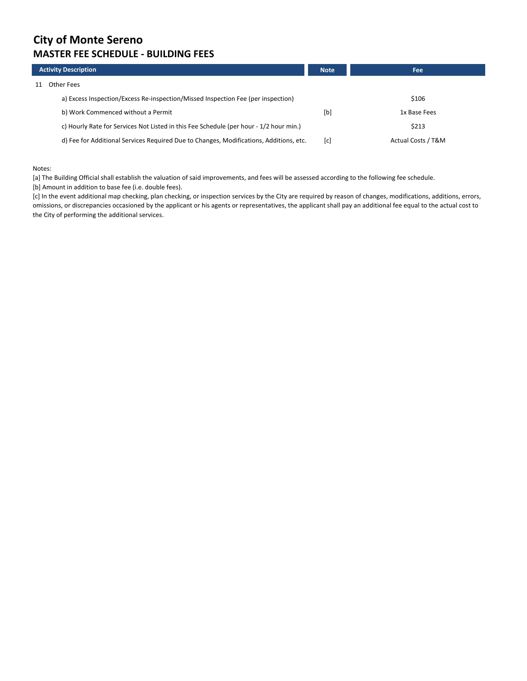### **City of Monte Sereno MASTER FEE SCHEDULE - BUILDING FEES**

|    | <b>Activity Description</b>                                                            | <b>Note</b> | <b>Fee</b>         |
|----|----------------------------------------------------------------------------------------|-------------|--------------------|
| 11 | Other Fees                                                                             |             |                    |
|    | a) Excess Inspection/Excess Re-inspection/Missed Inspection Fee (per inspection)       |             | \$106              |
|    | b) Work Commenced without a Permit                                                     | [b]         | 1x Base Fees       |
|    | c) Hourly Rate for Services Not Listed in this Fee Schedule (per hour - 1/2 hour min.) |             | \$213              |
|    | d) Fee for Additional Services Required Due to Changes, Modifications, Additions, etc. | [c]         | Actual Costs / T&M |

#### Notes:

[a] The Building Official shall establish the valuation of said improvements, and fees will be assessed according to the following fee schedule.

[b] Amount in addition to base fee (i.e. double fees).

[c] In the event additional map checking, plan checking, or inspection services by the City are required by reason of changes, modifications, additions, errors, omissions, or discrepancies occasioned by the applicant or his agents or representatives, the applicant shall pay an additional fee equal to the actual cost to the City of performing the additional services.